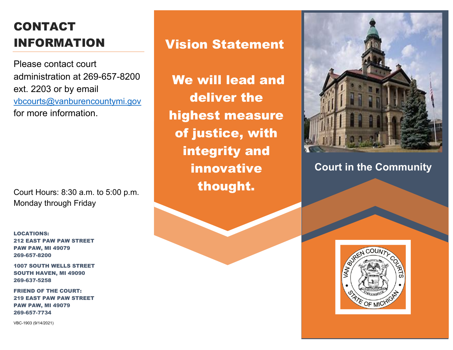## CONTACT INFORMATION

Please contact court administration at 269-657-8200 ext. 2203 or by email [vbcourts@vanburencountymi.gov](mailto:vbcourts@vanburencountymi.gov) for more information.

Court Hours: 8:30 a.m. to 5:00 p.m. Monday through Friday

LOCATIONS: 212 EAST PAW PAW STREET PAW PAW, MI 49079 269-657-8200

1007 SOUTH WELLS STREET SOUTH HAVEN, MI 49090 269-637-5258

FRIEND OF THE COURT: 219 EAST PAW PAW STREET PAW PAW, MI 49079 269-657-7734

VBC-1903 (9/14/2021)

## Vision Statement

We will lead and deliver the highest measure of justice, with integrity and innovative thought.



**Court in the Community**